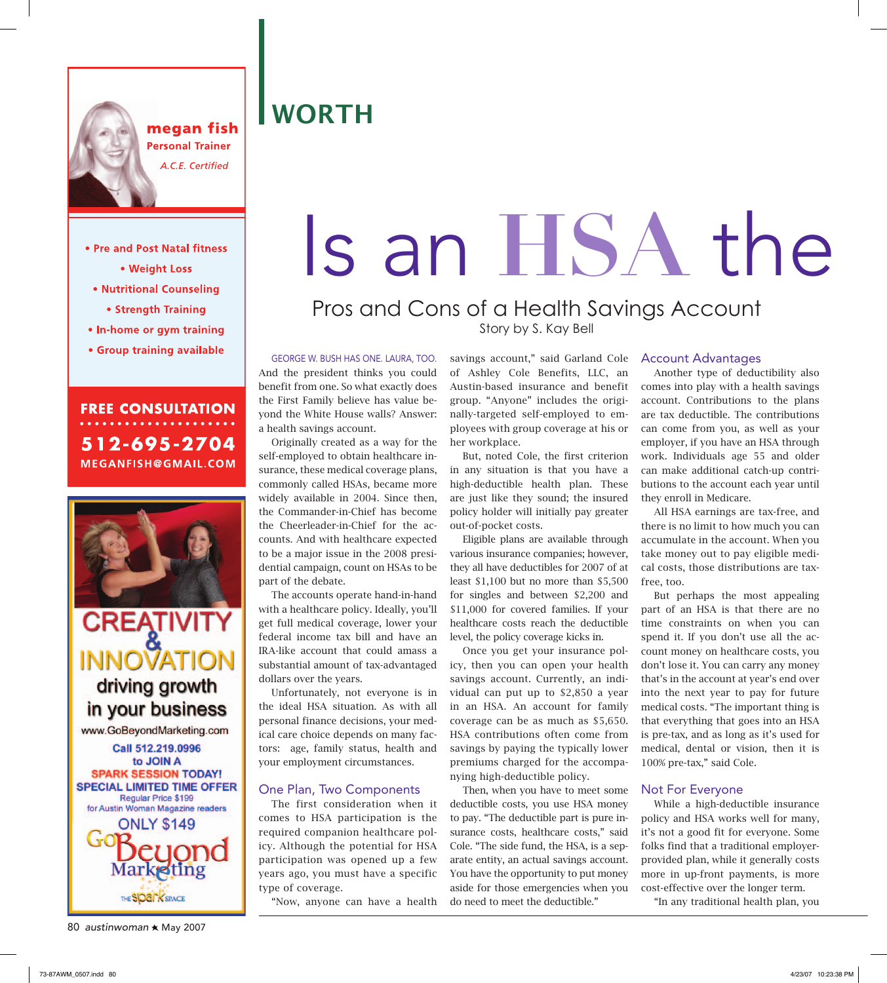

megan fish **Personal Trainer** A.C.E. Certified

### **WORTH**

#### • Pre and Post Natal fitness

- Weight Loss
- Nutritional Counseling
	- Strength Training
- In-home or gym training
- Group training available

**FREE CONSULTATION** 512-695-2704 MEGANFISH@GMAIL.COM



**CREATIVITY**<br>INNOVATION driving growth in your business

www.GoBeyondMarketing.com



80 *austinwoman* \* May 2007

# Is an HSA the Pros and Cons of a Health Savings Account

## Story by S. Kay Bell

GEORGE W. BUSH HAS ONE. LAURA, TOO. And the president thinks you could benefit from one. So what exactly does the First Family believe has value beyond the White House walls? Answer: a health savings account.

 Originally created as a way for the self-employed to obtain healthcare insurance, these medical coverage plans, commonly called HSAs, became more widely available in 2004. Since then, the Commander-in-Chief has become the Cheerleader-in-Chief for the accounts. And with healthcare expected to be a major issue in the 2008 presidential campaign, count on HSAs to be part of the debate.

 The accounts operate hand-in-hand with a healthcare policy. Ideally, you'll get full medical coverage, lower your federal income tax bill and have an IRA-like account that could amass a substantial amount of tax-advantaged dollars over the years.

 Unfortunately, not everyone is in the ideal HSA situation. As with all personal finance decisions, your medical care choice depends on many factors: age, family status, health and your employment circumstances.

#### One Plan, Two Components

 The first consideration when it comes to HSA participation is the required companion healthcare policy. Although the potential for HSA participation was opened up a few years ago, you must have a specific type of coverage.

"Now, anyone can have a health

savings account," said Garland Cole of Ashley Cole Benefits, LLC, an Austin-based insurance and benefit group. "Anyone" includes the originally-targeted self-employed to employees with group coverage at his or her workplace.

 But, noted Cole, the first criterion in any situation is that you have a high-deductible health plan. These are just like they sound; the insured policy holder will initially pay greater out-of-pocket costs.

 Eligible plans are available through various insurance companies; however, they all have deductibles for 2007 of at least \$1,100 but no more than \$5,500 for singles and between \$2,200 and \$11,000 for covered families. If your healthcare costs reach the deductible level, the policy coverage kicks in.

 Once you get your insurance policy, then you can open your health savings account. Currently, an individual can put up to \$2,850 a year in an HSA. An account for family coverage can be as much as \$5,650. HSA contributions often come from savings by paying the typically lower premiums charged for the accompanying high-deductible policy.

 Then, when you have to meet some deductible costs, you use HSA money to pay. "The deductible part is pure insurance costs, healthcare costs," said Cole. "The side fund, the HSA, is a separate entity, an actual savings account. You have the opportunity to put money aside for those emergencies when you do need to meet the deductible."

#### Account Advantages

 Another type of deductibility also comes into play with a health savings account. Contributions to the plans are tax deductible. The contributions can come from you, as well as your employer, if you have an HSA through work. Individuals age 55 and older can make additional catch-up contributions to the account each year until they enroll in Medicare.

 All HSA earnings are tax-free, and there is no limit to how much you can accumulate in the account. When you take money out to pay eligible medical costs, those distributions are taxfree, too.

 But perhaps the most appealing part of an HSA is that there are no time constraints on when you can spend it. If you don't use all the account money on healthcare costs, you don't lose it. You can carry any money that's in the account at year's end over into the next year to pay for future medical costs. "The important thing is that everything that goes into an HSA is pre-tax, and as long as it's used for medical, dental or vision, then it is 100% pre-tax," said Cole.

#### Not For Everyone

 While a high-deductible insurance policy and HSA works well for many, it's not a good fit for everyone. Some folks find that a traditional employerprovided plan, while it generally costs more in up-front payments, is more cost-effective over the longer term.

"In any traditional health plan, you